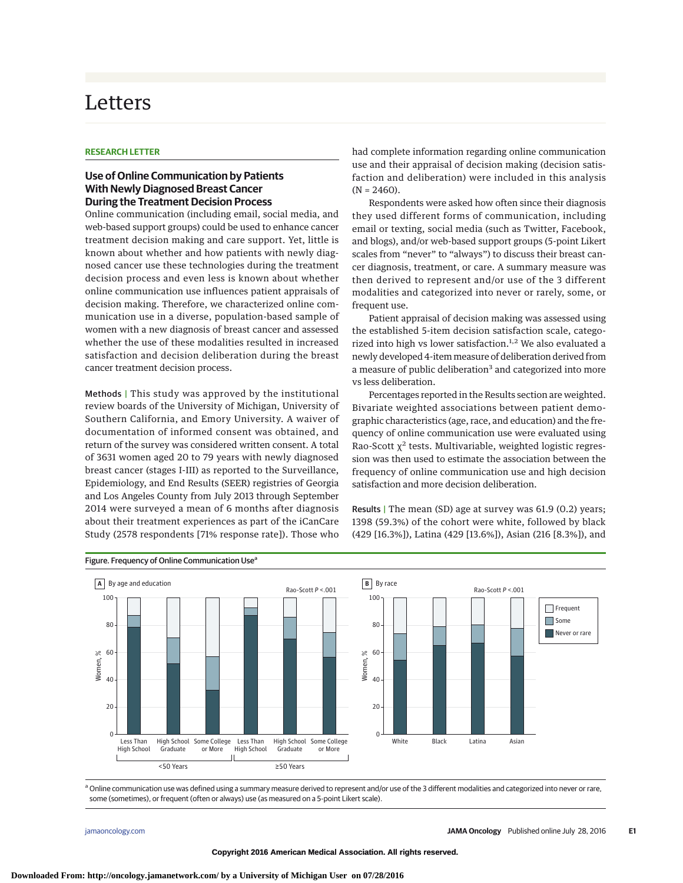## Letters

## **RESEARCH LETTER**

## **Use of Online Communication by Patients With Newly Diagnosed Breast Cancer During the Treatment Decision Process**

Online communication (including email, social media, and web-based support groups) could be used to enhance cancer treatment decision making and care support. Yet, little is known about whether and how patients with newly diagnosed cancer use these technologies during the treatment decision process and even less is known about whether online communication use influences patient appraisals of decision making. Therefore, we characterized online communication use in a diverse, population-based sample of women with a new diagnosis of breast cancer and assessed whether the use of these modalities resulted in increased satisfaction and decision deliberation during the breast cancer treatment decision process.

Methods | This study was approved by the institutional review boards of the University of Michigan, University of Southern California, and Emory University. A waiver of documentation of informed consent was obtained, and return of the survey was considered written consent. A total of 3631 women aged 20 to 79 years with newly diagnosed breast cancer (stages I-III) as reported to the Surveillance, Epidemiology, and End Results (SEER) registries of Georgia and Los Angeles County from July 2013 through September 2014 were surveyed a mean of 6 months after diagnosis about their treatment experiences as part of the iCanCare Study (2578 respondents [71% response rate]). Those who

had complete information regarding online communication use and their appraisal of decision making (decision satisfaction and deliberation) were included in this analysis  $(N = 2460)$ .

Respondents were asked how often since their diagnosis they used different forms of communication, including email or texting, social media (such as Twitter, Facebook, and blogs), and/or web-based support groups (5-point Likert scales from "never" to "always") to discuss their breast cancer diagnosis, treatment, or care. A summary measure was then derived to represent and/or use of the 3 different modalities and categorized into never or rarely, some, or frequent use.

Patient appraisal of decision making was assessed using the established 5-item decision satisfaction scale, categorized into high vs lower satisfaction.<sup>1,2</sup> We also evaluated a newly developed 4-item measure of deliberation derived from a measure of public deliberation<sup>3</sup> and categorized into more vs less deliberation.

Percentages reported in the Results section are weighted. Bivariate weighted associations between patient demographic characteristics (age, race, and education) and the frequency of online communication use were evaluated using Rao-Scott  $\chi^2$  tests. Multivariable, weighted logistic regression was then used to estimate the association between the frequency of online communication use and high decision satisfaction and more decision deliberation.

Results | The mean (SD) age at survey was 61.9 (0.2) years; 1398 (59.3%) of the cohort were white, followed by black (429 [16.3%]), Latina (429 [13.6%]), Asian (216 [8.3%]), and



## Figure. Frequency of Online Communication Use<sup>a</sup>

<sup>a</sup> Online communication use was defined using a summary measure derived to represent and/or use of the 3 different modalities and categorized into never or rare, some (sometimes), or frequent (often or always) use (as measured on a 5-point Likert scale).